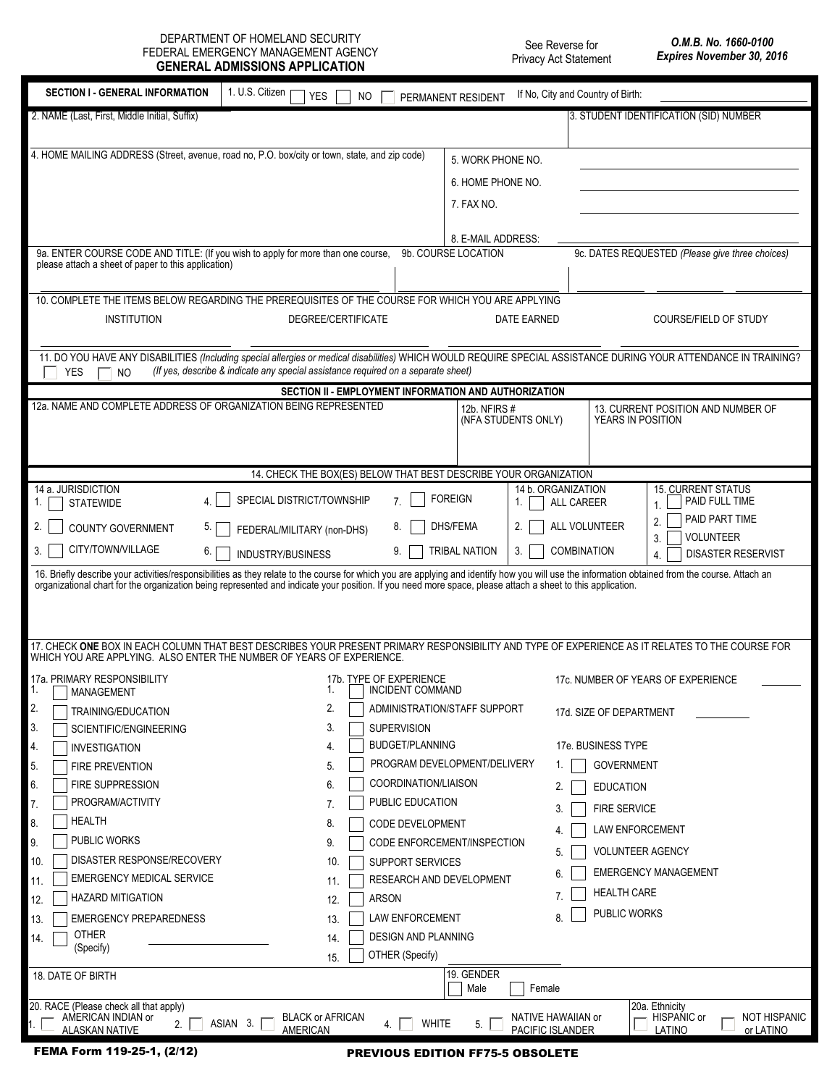DEPARTMENT OF HOMELAND SECURITY FEDERAL EMERGENCY MANAGEMENT AGENCY **GENERAL ADMISSIONS APPLICATION** 

See Reverse for Privacy Act Statement

| <b>SECTION I - GENERAL INFORMATION</b>                                                                                                                                                                                                                                                                                                                        | 1. U.S. Citizen<br>YES<br>NO.                                                     | PERMANENT RESIDENT                                      | If No, City and Country of Birth:             |                                                      |  |
|---------------------------------------------------------------------------------------------------------------------------------------------------------------------------------------------------------------------------------------------------------------------------------------------------------------------------------------------------------------|-----------------------------------------------------------------------------------|---------------------------------------------------------|-----------------------------------------------|------------------------------------------------------|--|
| 2. NAME (Last, First, Middle Initial, Suffix)                                                                                                                                                                                                                                                                                                                 |                                                                                   |                                                         |                                               | 3. STUDENT IDENTIFICATION (SID) NUMBER               |  |
|                                                                                                                                                                                                                                                                                                                                                               |                                                                                   |                                                         |                                               |                                                      |  |
| 4. HOME MAILING ADDRESS (Street, avenue, road no, P.O. box/city or town, state, and zip code)                                                                                                                                                                                                                                                                 |                                                                                   | 5. WORK PHONE NO.                                       |                                               |                                                      |  |
|                                                                                                                                                                                                                                                                                                                                                               |                                                                                   | 6. HOME PHONE NO.                                       |                                               |                                                      |  |
|                                                                                                                                                                                                                                                                                                                                                               |                                                                                   | 7. FAX NO.                                              |                                               |                                                      |  |
|                                                                                                                                                                                                                                                                                                                                                               |                                                                                   |                                                         |                                               |                                                      |  |
| 9a. ENTER COURSE CODE AND TITLE: (If you wish to apply for more than one course,                                                                                                                                                                                                                                                                              |                                                                                   | 8. E-MAIL ADDRESS:<br>9b. COURSE LOCATION               |                                               | 9c. DATES REQUESTED (Please give three choices)      |  |
| please attach a sheet of paper to this application)                                                                                                                                                                                                                                                                                                           |                                                                                   |                                                         |                                               |                                                      |  |
|                                                                                                                                                                                                                                                                                                                                                               |                                                                                   |                                                         |                                               |                                                      |  |
| 10. COMPLETE THE ITEMS BELOW REGARDING THE PREREQUISITES OF THE COURSE FOR WHICH YOU ARE APPLYING                                                                                                                                                                                                                                                             |                                                                                   |                                                         |                                               |                                                      |  |
| <b>INSTITUTION</b>                                                                                                                                                                                                                                                                                                                                            | DEGREE/CERTIFICATE                                                                |                                                         | DATE EARNED                                   | COURSE/FIELD OF STUDY                                |  |
|                                                                                                                                                                                                                                                                                                                                                               |                                                                                   |                                                         |                                               |                                                      |  |
| 11. DO YOU HAVE ANY DISABILITIES (Including special allergies or medical disabilities) WHICH WOULD REQUIRE SPECIAL ASSISTANCE DURING YOUR ATTENDANCE IN TRAINING?<br><b>YES</b><br><b>NO</b>                                                                                                                                                                  | (If yes, describe & indicate any special assistance required on a separate sheet) |                                                         |                                               |                                                      |  |
|                                                                                                                                                                                                                                                                                                                                                               | SECTION II - EMPLOYMENT INFORMATION AND AUTHORIZATION                             |                                                         |                                               |                                                      |  |
| 12a. NAME AND COMPLETE ADDRESS OF ORGANIZATION BEING REPRESENTED                                                                                                                                                                                                                                                                                              |                                                                                   | 12b. NFIRS #                                            |                                               | 13. CURRENT POSITION AND NUMBER OF                   |  |
|                                                                                                                                                                                                                                                                                                                                                               |                                                                                   | (NFA STUDENTS ONLY)                                     |                                               | YEARS IN POSITION                                    |  |
|                                                                                                                                                                                                                                                                                                                                                               |                                                                                   |                                                         |                                               |                                                      |  |
|                                                                                                                                                                                                                                                                                                                                                               | 14. CHECK THE BOX(ES) BELOW THAT BEST DESCRIBE YOUR ORGANIZATION                  |                                                         |                                               |                                                      |  |
| 14 a. JURISDICTION                                                                                                                                                                                                                                                                                                                                            | SPECIAL DISTRICT/TOWNSHIP<br>7 <sub>1</sub>                                       | <b>FOREIGN</b>                                          | 14 b. ORGANIZATION<br>1.                      | <b>15. CURRENT STATUS</b><br>PAID FULL TIME          |  |
| <b>STATEWIDE</b>                                                                                                                                                                                                                                                                                                                                              |                                                                                   |                                                         | ALL CAREER                                    | PAID PART TIME<br>$\overline{2}$                     |  |
| 2.<br>5.<br><b>COUNTY GOVERNMENT</b>                                                                                                                                                                                                                                                                                                                          | 8.<br>FEDERAL/MILITARY (non-DHS)                                                  | <b>DHS/FEMA</b>                                         | 2.<br>ALL VOLUNTEER                           | <b>VOLUNTEER</b><br>3.                               |  |
| CITY/TOWN/VILLAGE<br>3.<br>6.                                                                                                                                                                                                                                                                                                                                 | 9.<br>INDUSTRY/BUSINESS                                                           | TRIBAL NATION                                           | <b>COMBINATION</b><br>3.                      | <b>DISASTER RESERVIST</b><br>4.                      |  |
| 16. Briefly describe your activities/responsibilities as they relate to the course for which you are applying and identify how you will use the information obtained from the course. Attach an<br>organizational chart for the organization being represented and indicate your position. If you need more space, please attach a sheet to this application. |                                                                                   |                                                         |                                               |                                                      |  |
|                                                                                                                                                                                                                                                                                                                                                               |                                                                                   |                                                         |                                               |                                                      |  |
|                                                                                                                                                                                                                                                                                                                                                               |                                                                                   |                                                         |                                               |                                                      |  |
| 17. CHECK ONE BOX IN EACH COLUMN THAT BEST DESCRIBES YOUR PRESENT PRIMARY RESPONSIBILITY AND TYPE OF EXPERIENCE AS IT RELATES TO THE COURSE FOR                                                                                                                                                                                                               |                                                                                   |                                                         |                                               |                                                      |  |
| WHICH YOU ARE APPLYING. ALSO ENTER THE NUMBER OF YEARS OF EXPERIENCE.                                                                                                                                                                                                                                                                                         |                                                                                   |                                                         |                                               |                                                      |  |
| 17a. PRIMARY RESPONSIBILITY<br>1.                                                                                                                                                                                                                                                                                                                             | 17b. TYPE OF EXPERIENCE<br>1                                                      |                                                         |                                               | 17c. NUMBER OF YEARS OF EXPERIENCE                   |  |
| MANAGEMENT<br>2.                                                                                                                                                                                                                                                                                                                                              | 2.                                                                                | <b>INCIDENT COMMAND</b><br>ADMINISTRATION/STAFF SUPPORT |                                               |                                                      |  |
| TRAINING/EDUCATION<br>3.<br>SCIENTIFIC/ENGINEERING                                                                                                                                                                                                                                                                                                            | 3.<br><b>SUPERVISION</b>                                                          |                                                         | 17d. SIZE OF DEPARTMENT                       |                                                      |  |
| 4.<br><b>INVESTIGATION</b>                                                                                                                                                                                                                                                                                                                                    | 4.                                                                                | <b>BUDGET/PLANNING</b>                                  | 17e. BUSINESS TYPE                            |                                                      |  |
| 5.<br><b>FIRE PREVENTION</b>                                                                                                                                                                                                                                                                                                                                  | 5.                                                                                | PROGRAM DEVELOPMENT/DELIVERY                            | 1.<br><b>GOVERNMENT</b>                       |                                                      |  |
| 6.<br><b>FIRE SUPPRESSION</b>                                                                                                                                                                                                                                                                                                                                 | 6.                                                                                | COORDINATION/LIAISON                                    | 2.<br><b>EDUCATION</b>                        |                                                      |  |
| PROGRAM/ACTIVITY<br>7.                                                                                                                                                                                                                                                                                                                                        | 7.                                                                                | PUBLIC EDUCATION                                        | 3.<br><b>FIRE SERVICE</b>                     |                                                      |  |
| HEALTH<br>8.                                                                                                                                                                                                                                                                                                                                                  | 8.                                                                                | CODE DEVELOPMENT                                        | 4.                                            | <b>LAW ENFORCEMENT</b>                               |  |
| <b>PUBLIC WORKS</b><br>9.                                                                                                                                                                                                                                                                                                                                     | 9.                                                                                | CODE ENFORCEMENT/INSPECTION                             | 5.                                            | VOLUNTEER AGENCY                                     |  |
| DISASTER RESPONSE/RECOVERY<br>10.                                                                                                                                                                                                                                                                                                                             | 10.                                                                               | <b>SUPPORT SERVICES</b>                                 | 6.                                            | <b>EMERGENCY MANAGEMENT</b>                          |  |
| <b>EMERGENCY MEDICAL SERVICE</b><br>11.                                                                                                                                                                                                                                                                                                                       | 11.                                                                               | RESEARCH AND DEVELOPMENT                                | HEALTH CARE                                   |                                                      |  |
| <b>HAZARD MITIGATION</b><br>12.                                                                                                                                                                                                                                                                                                                               | ARSON<br>12.                                                                      |                                                         | 7.<br><b>PUBLIC WORKS</b>                     |                                                      |  |
| <b>EMERGENCY PREPAREDNESS</b><br>13.<br>OTHER                                                                                                                                                                                                                                                                                                                 | 13.                                                                               | LAW ENFORCEMENT                                         | 8.                                            |                                                      |  |
| 14.<br>(Specify)                                                                                                                                                                                                                                                                                                                                              | 14.<br>OTHER (Specify)                                                            | DESIGN AND PLANNING                                     |                                               |                                                      |  |
|                                                                                                                                                                                                                                                                                                                                                               | 15.                                                                               | 19. GENDER                                              |                                               |                                                      |  |
| 18. DATE OF BIRTH                                                                                                                                                                                                                                                                                                                                             |                                                                                   | Male                                                    | Female                                        |                                                      |  |
| 20. RACE (Please check all that apply)                                                                                                                                                                                                                                                                                                                        |                                                                                   |                                                         |                                               | 20a. Ethnicity<br>HISPANIC or<br><b>NOT HISPANIC</b> |  |
| AMERICAN INDIAN or<br>2.<br><b>ALASKAN NATIVE</b>                                                                                                                                                                                                                                                                                                             | <b>BLACK or AFRICAN</b><br>ASIAN 3.<br>4.<br><b>AMERICAN</b>                      | <b>WHITE</b><br>5.                                      | NATIVE HAWAIIAN or<br><b>PACIFIC ISLANDER</b> | LATINO<br>or LATINO                                  |  |
| FEMA Form 119-25-1, (2/12)                                                                                                                                                                                                                                                                                                                                    |                                                                                   | <b>PREVIOUS EDITION FF75-5 OBSOLETE</b>                 |                                               |                                                      |  |

PREVIOUS EDITION FF75-5 OBSOLETE